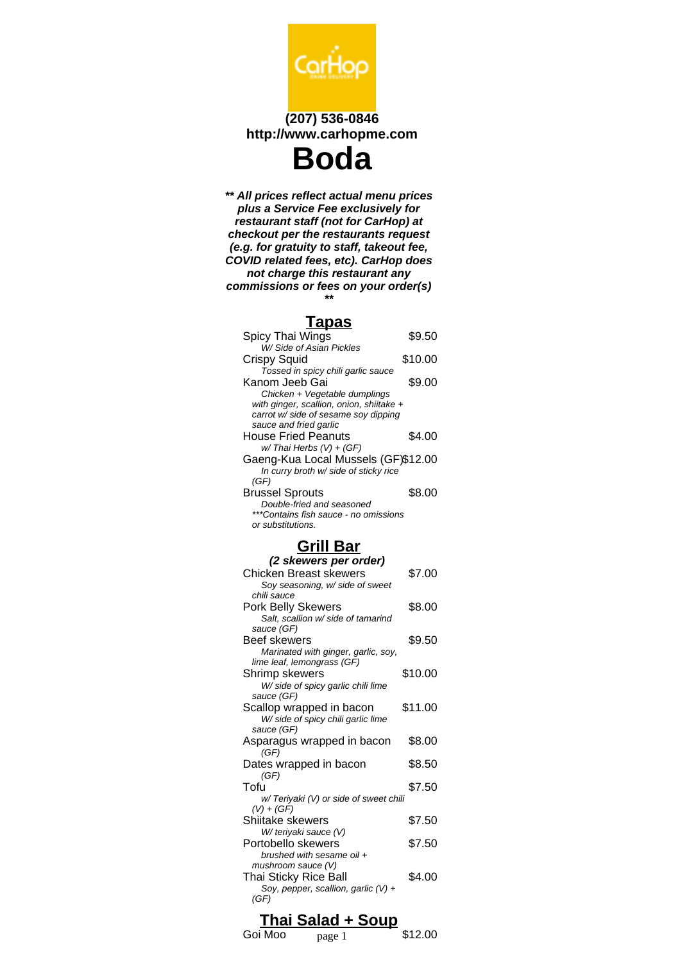

**\*\* All prices reflect actual menu prices plus a Service Fee exclusively for restaurant staff (not for CarHop) at checkout per the restaurants request (e.g. for gratuity to staff, takeout fee, COVID related fees, etc). CarHop does not charge this restaurant any commissions or fees on your order(s) \*\***

#### **Tapas**

| Spicy Thai Wings                         | \$9.50  |
|------------------------------------------|---------|
| W/ Side of Asian Pickles                 |         |
| <b>Crispy Squid</b>                      | \$10.00 |
| Tossed in spicy chili garlic sauce       |         |
| Kanom Jeeb Gai                           | \$9.00  |
| Chicken + Vegetable dumplings            |         |
| with ginger, scallion, onion, shiitake + |         |
| carrot w/ side of sesame soy dipping     |         |
| sauce and fried garlic                   |         |
| House Fried Peanuts                      | \$4.00  |
| w/Thai Herbs (V) + (GF)                  |         |
| Gaeng-Kua Local Mussels (GF)\$12.00      |         |
| In curry broth w/ side of sticky rice    |         |
| (GF)                                     |         |
| <b>Brussel Sprouts</b>                   | \$8.00  |
| Double-fried and seasoned                |         |
| ***Contains fish sauce - no omissions    |         |
| or substitutions.                        |         |

# **Grill Bar**

| (2 skewers per order)                                          |         |
|----------------------------------------------------------------|---------|
| Chicken Breast skewers                                         | \$7.00  |
| Soy seasoning, w/ side of sweet                                |         |
| chili sauce                                                    |         |
| Pork Belly Skewers                                             | \$8.00  |
| Salt, scallion w/ side of tamarind                             |         |
| sauce (GF)                                                     |         |
| <b>Beef skewers</b>                                            | \$9.50  |
| Marinated with ginger, garlic, soy,                            |         |
| lime leaf, lemongrass (GF)                                     |         |
| Shrimp skewers                                                 | \$10.00 |
| W/ side of spicy garlic chili lime                             |         |
| sauce (GF)                                                     |         |
| Scallop wrapped in bacon<br>W/ side of spicy chili garlic lime | \$11.00 |
| sauce (GF)                                                     |         |
| Asparagus wrapped in bacon                                     | \$8.00  |
| (GF)                                                           |         |
| Dates wrapped in bacon                                         | \$8.50  |
| (GF)                                                           |         |
| Tofu                                                           | \$7.50  |
| w/ Teriyaki (V) or side of sweet chili                         |         |
| $(V) + (GF)$                                                   |         |
| Shiitake skewers                                               | \$7.50  |
| W/ teriyaki sauce (V)                                          |         |
| Portobello skewers                                             | \$7.50  |
| brushed with sesame oil +                                      |         |
| mushroom sauce (V)                                             |         |
| <b>Thai Sticky Rice Ball</b>                                   | \$4.00  |
| Soy, pepper, scallion, garlic (V) +                            |         |
| (GF)                                                           |         |
|                                                                |         |

## **Thai Salad + Soup**

## Goi Moo  $_{\text{page 1}}$  \$12.00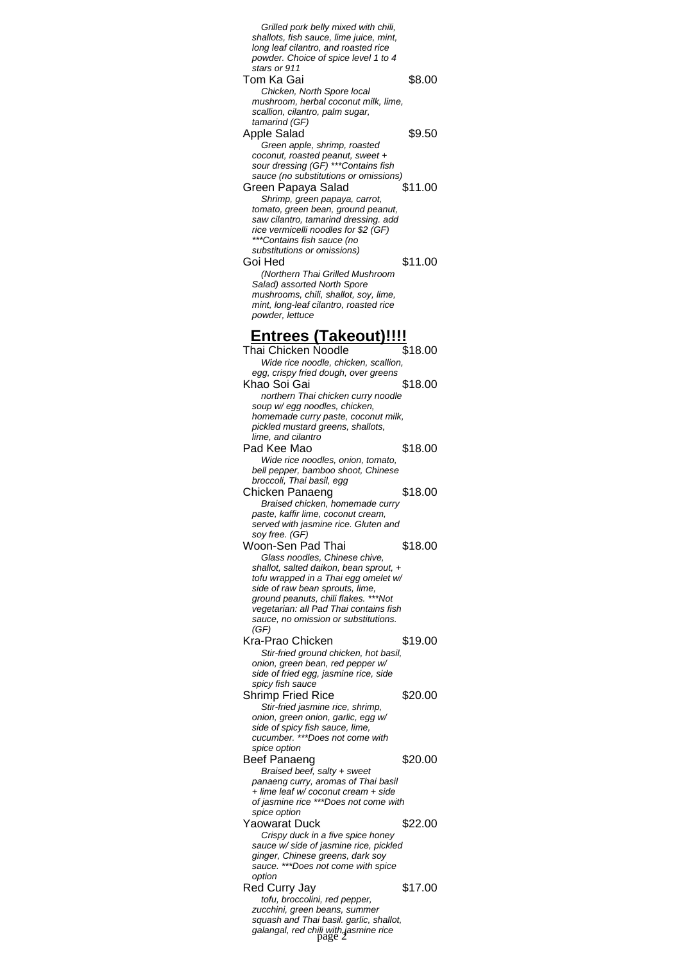| Grilled pork belly mixed with chili,                                                       |                     |
|--------------------------------------------------------------------------------------------|---------------------|
| shallots, fish sauce, lime juice, mint,<br>long leaf cilantro, and roasted rice            |                     |
| powder. Choice of spice level 1 to 4                                                       |                     |
| stars or 911                                                                               |                     |
| Tom Ka Gai<br>Chicken, North Spore local                                                   | \$8.00              |
| mushroom, herbal coconut milk, lime,                                                       |                     |
| scallion, cilantro, palm sugar,                                                            |                     |
| tamarind (GF)                                                                              | \$9.50              |
| <b>Apple Salad</b><br>Green apple, shrimp, roasted                                         |                     |
| coconut, roasted peanut, sweet +                                                           |                     |
| sour dressing (GF) *** Contains fish                                                       |                     |
| sauce (no substitutions or omissions)                                                      | \$11.00             |
| Green Papaya Salad<br>Shrimp, green papaya, carrot,                                        |                     |
| tomato, green bean, ground peanut,                                                         |                     |
| saw cilantro, tamarind dressing. add                                                       |                     |
| rice vermicelli noodles for \$2 (GF)<br>***Contains fish sauce (no                         |                     |
| substitutions or omissions)                                                                |                     |
| Goi Hed                                                                                    | \$11.00             |
| (Northern Thai Grilled Mushroom                                                            |                     |
| Salad) assorted North Spore<br>mushrooms, chili, shallot, soy, lime,                       |                     |
| mint, long-leaf cilantro, roasted rice                                                     |                     |
| powder, lettuce                                                                            |                     |
| <u>Entrees (Takeout)!!!!</u>                                                               |                     |
| Thai Chicken Noodle                                                                        | $\overline{$}18.00$ |
| Wide rice noodle, chicken, scallion,                                                       |                     |
| egg, crispy fried dough, over greens                                                       |                     |
| Khao Soi Gai                                                                               | \$18.00             |
| northern Thai chicken curry noodle                                                         |                     |
| soup w/ egg noodles, chicken,<br>homemade curry paste, coconut milk,                       |                     |
| pickled mustard greens, shallots,                                                          |                     |
| lime, and cilantro                                                                         |                     |
| Pad Kee Mao                                                                                | \$18.00             |
| Wide rice noodles, onion, tomato,<br>bell pepper, bamboo shoot, Chinese                    |                     |
| broccoli, Thai basil, egg                                                                  |                     |
|                                                                                            |                     |
| Chicken Panaeng                                                                            | \$18.00             |
| Braised chicken, homemade curry                                                            |                     |
| paste, kaffir lime, coconut cream,<br>served with jasmine rice. Gluten and                 |                     |
| soy free. (GF)                                                                             |                     |
| Woon-Sen Pad Thai                                                                          | \$18.00             |
| Glass noodles, Chinese chive,<br>shallot, salted daikon, bean sprout, +                    |                     |
| tofu wrapped in a Thai egg omelet w/                                                       |                     |
| side of raw bean sprouts, lime,                                                            |                     |
| ground peanuts, chili flakes. ***Not<br>vegetarian: all Pad Thai contains fish             |                     |
| sauce, no omission or substitutions.                                                       |                     |
| (GF)                                                                                       |                     |
| Kra-Prao Chicken                                                                           | \$19.00             |
| Stir-fried ground chicken, hot basil,<br>onion, green bean, red pepper w/                  |                     |
| side of fried egg, jasmine rice, side                                                      |                     |
| spicy fish sauce                                                                           |                     |
| Shrimp Fried Rice<br>Stir-fried jasmine rice, shrimp,                                      | \$20.00             |
| onion, green onion, garlic, egg w/                                                         |                     |
| side of spicy fish sauce, lime,                                                            |                     |
| cucumber. ***Does not come with<br>spice option                                            |                     |
| <b>Beef Panaeng</b>                                                                        | \$20.00             |
| Braised beef, salty + sweet                                                                |                     |
| panaeng curry, aromas of Thai basil<br>+ lime leaf w/coconut cream + side                  |                     |
| of jasmine rice ***Does not come with                                                      |                     |
| spice option                                                                               |                     |
| Yaowarat Duck                                                                              | \$22.00             |
| Crispy duck in a five spice honey<br>sauce w/ side of jasmine rice, pickled                |                     |
| ginger, Chinese greens, dark soy                                                           |                     |
| sauce. ***Does not come with spice                                                         |                     |
| option                                                                                     | \$17.00             |
| Red Curry Jay<br>tofu, broccolini, red pepper,                                             |                     |
| zucchini, green beans, summer                                                              |                     |
| squash and Thai basil. garlic, shallot,<br>galangal, red chili with jasmine rice<br>page 2 |                     |